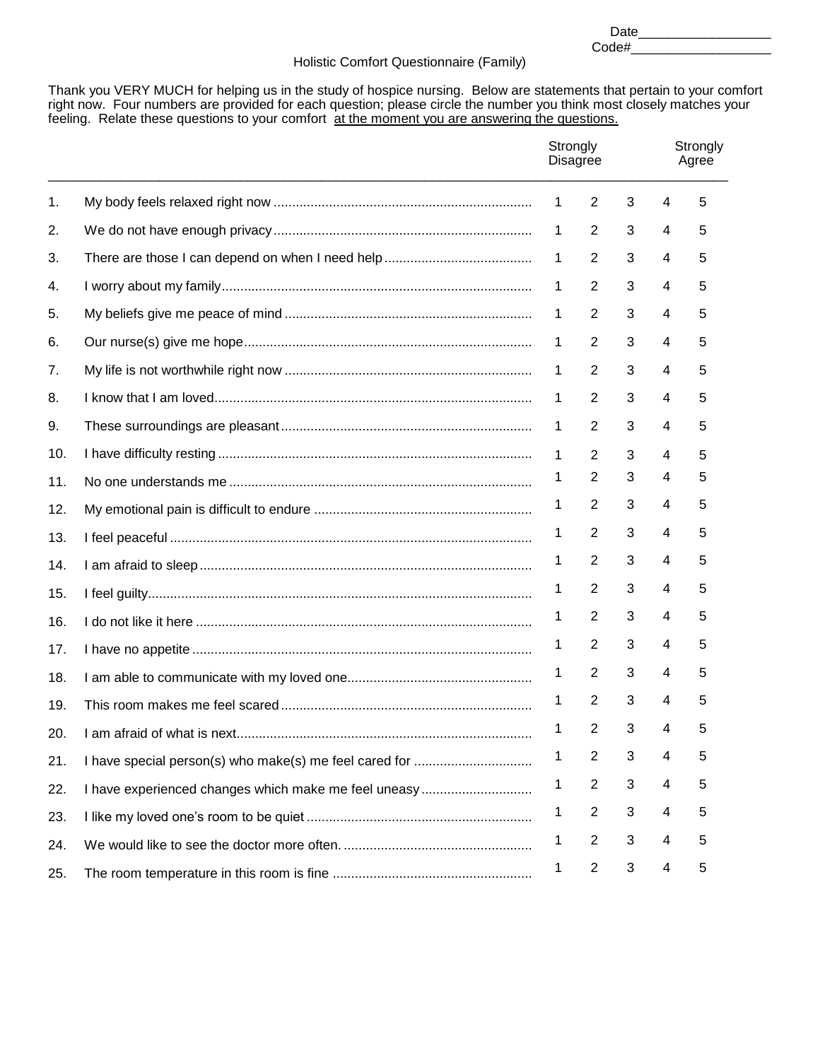Date\_\_\_\_\_\_\_\_\_\_\_\_\_\_\_\_\_\_ Code#\_\_\_\_\_\_\_\_\_\_\_\_\_\_\_\_\_\_\_

## Holistic Comfort Questionnaire (Family)

Thank you VERY MUCH for helping us in the study of hospice nursing. Below are statements that pertain to your comfort right now. Four numbers are provided for each question; please circle the number you think most closely matches your feeling. Relate these questions to your comfort at the moment you are answering the questions.

|     |                                                      |   | Strongly<br><b>Disagree</b> |   | Strongly<br>Agree       |   |  |
|-----|------------------------------------------------------|---|-----------------------------|---|-------------------------|---|--|
| 1.  |                                                      | 1 | $\overline{2}$              | 3 | 4                       | 5 |  |
| 2.  |                                                      | 1 | 2                           | 3 | 4                       | 5 |  |
| 3.  |                                                      | 1 | 2                           | 3 | 4                       | 5 |  |
| 4.  |                                                      | 1 | 2                           | 3 | 4                       | 5 |  |
| 5.  |                                                      | 1 | $\overline{2}$              | 3 | 4                       | 5 |  |
| 6.  |                                                      | 1 | $\overline{2}$              | 3 | 4                       | 5 |  |
| 7.  |                                                      | 1 | $\overline{2}$              | 3 | 4                       | 5 |  |
| 8.  |                                                      | 1 | $\overline{2}$              | 3 | 4                       | 5 |  |
| 9.  |                                                      | 1 | $\overline{2}$              | 3 | 4                       | 5 |  |
| 10. |                                                      | 1 | 2                           | 3 | 4                       | 5 |  |
| 11. |                                                      | 1 | $\overline{2}$              | 3 | 4                       | 5 |  |
| 12. |                                                      | 1 | $\overline{2}$              | 3 | 4                       | 5 |  |
| 13. |                                                      | 1 | $\overline{2}$              | 3 | 4                       | 5 |  |
| 14. |                                                      | 1 | $\overline{2}$              | 3 | 4                       | 5 |  |
| 15. |                                                      | 1 | $\overline{2}$              | 3 | 4                       | 5 |  |
| 16. |                                                      | 1 | $\overline{2}$              | 3 | 4                       | 5 |  |
| 17. |                                                      | 1 | $\overline{2}$              | 3 | 4                       | 5 |  |
| 18. |                                                      | 1 | $\overline{2}$              | 3 | 4                       | 5 |  |
| 19. |                                                      | 1 | 2                           | 3 | 4                       | 5 |  |
| 20. |                                                      | 1 | $\overline{2}$              | 3 | 4                       | 5 |  |
| 21. |                                                      | 1 | $\overline{c}$              | 3 | 4                       | 5 |  |
| 22. | I have experienced changes which make me feel uneasy | 1 | $\overline{2}$              | 3 | 4                       | 5 |  |
| 23. |                                                      | 1 | $\overline{c}$              | 3 | 4                       | 5 |  |
| 24. |                                                      | 1 | $\overline{c}$              | 3 | $\overline{\mathbf{4}}$ | 5 |  |
| 25. |                                                      | 1 | $\overline{c}$              | 3 | 4                       | 5 |  |